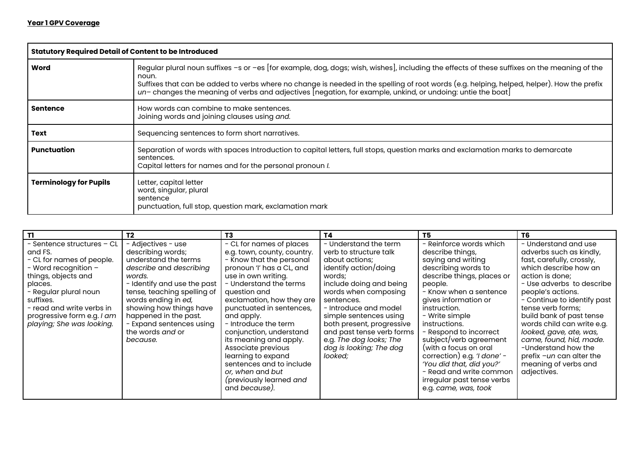| <b>Statutory Required Detail of Content to be Introduced</b> |                                                                                                                                                                                                                                                                                                                                                                                                                   |
|--------------------------------------------------------------|-------------------------------------------------------------------------------------------------------------------------------------------------------------------------------------------------------------------------------------------------------------------------------------------------------------------------------------------------------------------------------------------------------------------|
| Word                                                         | Regular plural noun suffixes -s or -es [for example, dog, dogs; wish, wishes], including the effects of these suffixes on the meaning of the<br>noun.<br>Suffixes that can be added to verbs where no change is needed in the spelling of root words (e.g. helping, helped, helper). How the prefix<br>un-changes the meaning of verbs and adjectives [negation, for example, unkind, or undoing: untie the boat] |
| <b>Sentence</b>                                              | How words can combine to make sentences.<br>Joining words and joining clauses using and.                                                                                                                                                                                                                                                                                                                          |
| Text                                                         | Sequencing sentences to form short narratives.                                                                                                                                                                                                                                                                                                                                                                    |
| Punctuation                                                  | Separation of words with spaces Introduction to capital letters, full stops, question marks and exclamation marks to demarcate<br>sentences.<br>Capital letters for names and for the personal pronoun I.                                                                                                                                                                                                         |
| <b>Terminology for Pupils</b>                                | Letter, capital letter<br>word, singular, plural<br>sentence<br>punctuation, full stop, question mark, exclamation mark                                                                                                                                                                                                                                                                                           |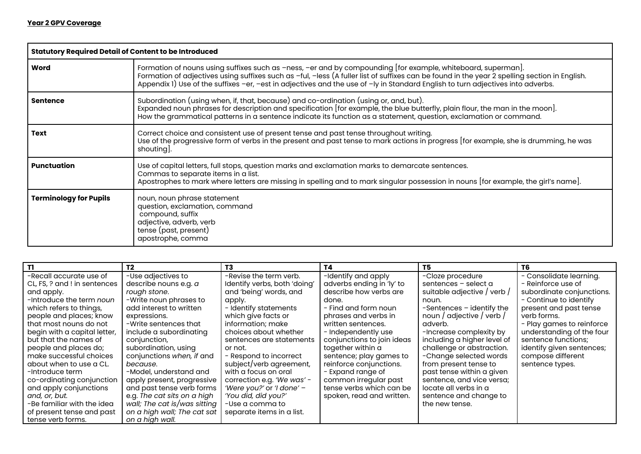| <b>Statutory Required Detail of Content to be Introduced</b> |                                                                                                                                                                                                                                                                                                                                                                                                  |
|--------------------------------------------------------------|--------------------------------------------------------------------------------------------------------------------------------------------------------------------------------------------------------------------------------------------------------------------------------------------------------------------------------------------------------------------------------------------------|
| Word                                                         | Formation of nouns using suffixes such as -ness, -er and by compounding [for example, whiteboard, superman].<br>Formation of adjectives using suffixes such as -ful, -less (A fuller list of suffixes can be found in the year 2 spelling section in English.<br>Appendix 1) Use of the suffixes -er, -est in adjectives and the use of -ly in Standard English to turn adjectives into adverbs. |
| <b>Sentence</b>                                              | Subordination (using when, if, that, because) and co-ordination (using or, and, but).<br>Expanded noun phrases for description and specification [for example, the blue butterfly, plain flour, the man in the moon].<br>How the grammatical patterns in a sentence indicate its function as a statement, question, exclamation or command.                                                      |
| Text                                                         | Correct choice and consistent use of present tense and past tense throughout writing.<br>Use of the progressive form of verbs in the present and past tense to mark actions in progress [for example, she is drumming, he was<br>shouting].                                                                                                                                                      |
| <b>Punctuation</b>                                           | Use of capital letters, full stops, question marks and exclamation marks to demarcate sentences.<br>Commas to separate items in a list.<br>Apostrophes to mark where letters are missing in spelling and to mark singular possession in nouns [for example, the girl's name].                                                                                                                    |
| <b>Terminology for Pupils</b>                                | noun, noun phrase statement<br>question, exclamation, command<br>compound, suffix<br>adjective, adverb, verb<br>tense (past, present)<br>apostrophe, comma                                                                                                                                                                                                                                       |

|                                 | T <sub>2</sub>               | T3                           | Τ4                         | T5.                         | T6                        |
|---------------------------------|------------------------------|------------------------------|----------------------------|-----------------------------|---------------------------|
| -Recall accurate use of         | -Use adjectives to           | -Revise the term verb.       | -Identify and apply        | -Cloze procedure            | - Consolidate learning.   |
| CL, FS, ? and ! in sentences    | describe nouns e.g. a        | Identify verbs, both 'doing' | adverbs ending in 'ly' to  | sentences - select a        | - Reinforce use of        |
| and apply.                      | rough stone.                 | and 'being' words, and       | describe how verbs are     | suitable adjective / verb / | subordinate conjunctions. |
| -Introduce the term <i>noun</i> | -Write noun phrases to       | apply.                       | done.                      | noun.                       | - Continue to identify    |
| which refers to things,         | add interest to written      | - Identify statements        | - Find and form noun       | -Sentences - identify the   | present and past tense    |
| people and places; know         | expressions.                 | which give facts or          | phrases and verbs in       | noun / adjective / verb /   | verb forms.               |
| that most nouns do not          | -Write sentences that        | information; make            | written sentences.         | adverb.                     | - Play games to reinforce |
| begin with a capital letter,    | include a subordinating      | choices about whether        | - Independently use        | -Increase complexity by     | understanding of the four |
| but that the names of           | conjunction,                 | sentences are statements     | conjunctions to join ideas | including a higher level of | sentence functions;       |
| people and places do;           | subordination, using         | or not.                      | together within a          | challenge or abstraction.   | identify given sentences; |
| make successful choices         | conjunctions when, if and    | - Respond to incorrect       | sentence; play games to    | -Change selected words      | compose different         |
| about when to use a CL.         | because.                     | subject/verb agreement,      | reinforce conjunctions.    | from present tense to       | sentence types.           |
| -Introduce term                 | -Model, understand and       | with a focus on oral         | - Expand range of          | past tense within a given   |                           |
| co-ordinating conjunction       | apply present, progressive   | correction e.g. 'We was' -   | common irregular past      | sentence, and vice versa;   |                           |
| and apply conjunctions          | and past tense verb forms    | 'Were you?' or 'I done' -    | tense verbs which can be   | locate all verbs in a       |                           |
| and, or, but.                   | e.g. The cat sits on a high  | 'You did, did you?'          | spoken, read and written.  | sentence and change to      |                           |
| -Be familiar with the idea      | wall; The cat is/was sitting | -Use a comma to              |                            | the new tense.              |                           |
| of present tense and past       | on a high wall; The cat sat  | separate items in a list.    |                            |                             |                           |
| tense verb forms.               | on a high wall.              |                              |                            |                             |                           |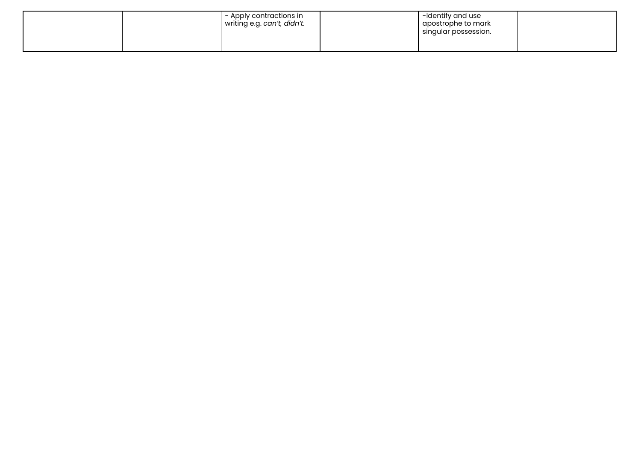| - Apply contractions in  <br>writing e.g. can't, didn't. | -Identify and use<br>apostrophe to mark<br>singular possession. |  |
|----------------------------------------------------------|-----------------------------------------------------------------|--|
|                                                          |                                                                 |  |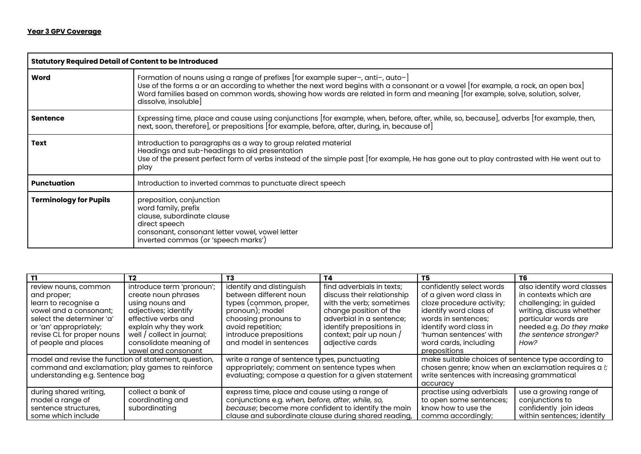| <b>Statutory Required Detail of Content to be Introduced</b> |                                                                                                                                                                                                                                                                                                                                                                              |
|--------------------------------------------------------------|------------------------------------------------------------------------------------------------------------------------------------------------------------------------------------------------------------------------------------------------------------------------------------------------------------------------------------------------------------------------------|
| Word                                                         | Formation of nouns using a range of prefixes [for example super-, anti-, auto-]<br>Use of the forms a or an according to whether the next word begins with a consonant or a vowel [for example, a rock, an open box]<br>Word families based on common words, showing how words are related in form and meaning [for example, solve, solution, solver,<br>dissolve, insoluble |
| <b>Sentence</b>                                              | Expressing time, place and cause using conjunctions [for example, when, before, after, while, so, because], adverbs [for example, then,<br>next, soon, therefore], or prepositions [for example, before, after, during, in, because of]                                                                                                                                      |
| <b>Text</b>                                                  | Introduction to paragraphs as a way to group related material<br>Headings and sub-headings to aid presentation<br>Use of the present perfect form of verbs instead of the simple past [for example, He has gone out to play contrasted with He went out to<br>play                                                                                                           |
| <b>Punctuation</b>                                           | Introduction to inverted commas to punctuate direct speech                                                                                                                                                                                                                                                                                                                   |
| <b>Terminology for Pupils</b>                                | preposition, conjunction<br>word family, prefix<br>clause, subordinate clause<br>direct speech<br>consonant, consonant letter vowel, vowel letter<br>inverted commas (or 'speech marks')                                                                                                                                                                                     |

| TI.                                                   | T <sub>2</sub>             | T3                                                   | T4                         | T5                                                  | T6                                                   |
|-------------------------------------------------------|----------------------------|------------------------------------------------------|----------------------------|-----------------------------------------------------|------------------------------------------------------|
| review nouns, common                                  | introduce term 'pronoun';  | identify and distinguish                             | find adverbials in texts;  | confidently select words                            | also identify word classes                           |
| and proper;                                           | create noun phrases        | between different noun                               | discuss their relationship | of a given word class in                            | in contexts which are                                |
| learn to recognise a                                  | using nouns and            | types (common, proper,                               | with the verb; sometimes   | cloze procedure activity;                           | challenging; in guided                               |
| vowel and a consonant:                                | adjectives; identify       | pronoun); model                                      | change position of the     | identify word class of                              | writing, discuss whether                             |
| select the determiner 'a'                             | effective verbs and        | choosing pronouns to                                 | adverbial in a sentence;   | words in sentences:                                 | particular words are                                 |
| or 'an' appropriately;                                | explain why they work      | avoid repetition;                                    | identify prepositions in   | identify word class in                              | needed e.g. Do they make                             |
| revise CL for proper nouns                            | well / collect in journal; | introduce prepositions                               | context; pair up noun /    | 'human sentences' with                              | the sentence stronger?                               |
| of people and places                                  | consolidate meaning of     | and model in sentences                               | adjective cards            | word cards, including                               | How?                                                 |
|                                                       | vowel and consonant        |                                                      |                            | prepositions                                        |                                                      |
| model and revise the function of statement, question, |                            | write a range of sentence types, punctuating         |                            | make suitable choices of sentence type according to |                                                      |
| command and exclamation; play games to reinforce      |                            | appropriately; comment on sentence types when        |                            |                                                     | chosen genre; know when an exclamation requires a !; |
| understanding e.g. Sentence bag                       |                            | evaluating; compose a question for a given statement |                            | write sentences with increasing grammatical         |                                                      |
|                                                       |                            |                                                      |                            | accuracy                                            |                                                      |
| during shared writing,                                | collect a bank of          | express time, place and cause using a range of       |                            | practise using adverbials                           | use a growing range of                               |
| model a range of                                      | coordinating and           | conjunctions e.g. when, before, after, while, so,    |                            | to open some sentences;                             | conjunctions to                                      |
| sentence structures,                                  | subordinating              | because; become more confident to identify the main  |                            | know how to use the                                 | confidently join ideas                               |
| some which include                                    |                            | clause and subordinate clause during shared reading, |                            | comma accordingly;                                  | within sentences; identify                           |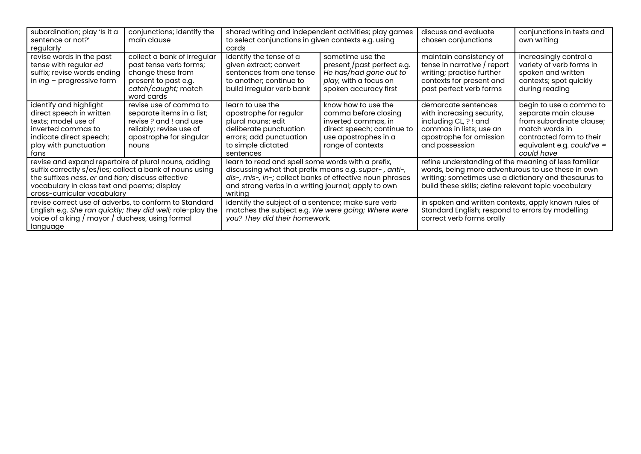| subordination; play 'Is it a<br>sentence or not?'<br>regularly                                                                                                                                                                                      | conjunctions; identify the<br>main clause                                                                                                   | shared writing and independent activities; play games<br>to select conjunctions in given contexts e.g. using<br>cards                                                                                                                    |                                                                                                                                               | discuss and evaluate<br>chosen conjunctions                                                                                                                                                                               | conjunctions in texts and<br>own writing                                                                                                                              |
|-----------------------------------------------------------------------------------------------------------------------------------------------------------------------------------------------------------------------------------------------------|---------------------------------------------------------------------------------------------------------------------------------------------|------------------------------------------------------------------------------------------------------------------------------------------------------------------------------------------------------------------------------------------|-----------------------------------------------------------------------------------------------------------------------------------------------|---------------------------------------------------------------------------------------------------------------------------------------------------------------------------------------------------------------------------|-----------------------------------------------------------------------------------------------------------------------------------------------------------------------|
| revise words in the past<br>tense with regular ed<br>suffix; revise words ending<br>in $ing$ – progressive form                                                                                                                                     | collect a bank of irregular<br>past tense verb forms;<br>change these from<br>present to past e.g.<br>catch/caught; match<br>word cards     | identify the tense of a<br>given extract; convert<br>sentences from one tense<br>to another; continue to<br>build irregular verb bank                                                                                                    | sometime use the<br>present /past perfect e.g.<br>He has/had gone out to<br>play, with a focus on<br>spoken accuracy first                    | maintain consistency of<br>tense in narrative / report<br>writing; practise further<br>contexts for present and<br>past perfect verb forms                                                                                | increasingly control a<br>variety of verb forms in<br>spoken and written<br>contexts; spot quickly<br>during reading                                                  |
| identify and highlight<br>direct speech in written<br>texts; model use of<br>inverted commas to<br>indicate direct speech;<br>play with punctuation<br>tans                                                                                         | revise use of comma to<br>separate items in a list;<br>revise? and ! and use<br>reliably; revise use of<br>apostrophe for singular<br>nouns | learn to use the<br>apostrophe for regular<br>plural nouns; edit<br>deliberate punctuation<br>errors; add punctuation<br>to simple dictated<br>sentences                                                                                 | know how to use the<br>comma before closing<br>inverted commas, in<br>direct speech; continue to<br>use apostrophes in a<br>range of contexts | demarcate sentences<br>with increasing security,<br>including CL, ? ! and<br>commas in lists; use an<br>apostrophe for omission<br>and possession                                                                         | begin to use a comma to<br>separate main clause<br>from subordinate clause;<br>match words in<br>contracted form to their<br>equivalent e.g. could've =<br>could have |
| revise and expand repertoire of plural nouns, adding<br>suffix correctly s/es/ies; collect a bank of nouns using<br>the suffixes ness, er and tion; discuss effective<br>vocabulary in class text and poems; display<br>cross-curricular vocabulary |                                                                                                                                             | learn to read and spell some words with a prefix,<br>discussing what that prefix means e.g. super-, anti-,<br>dis-, mis-, in-; collect banks of effective noun phrases<br>and strong verbs in a writing journal; apply to own<br>writing |                                                                                                                                               | refine understanding of the meaning of less familiar<br>words, being more adventurous to use these in own<br>writing; sometimes use a dictionary and thesaurus to<br>build these skills; define relevant topic vocabulary |                                                                                                                                                                       |
| revise correct use of adverbs, to conform to Standard<br>English e.g. She ran quickly; they did well; role-play the<br>voice of a king / mayor / duchess, using formal<br>language                                                                  |                                                                                                                                             | identify the subject of a sentence; make sure verb<br>matches the subject e.g. We were going; Where were<br>you? They did their homework.                                                                                                |                                                                                                                                               | in spoken and written contexts, apply known rules of<br>Standard English; respond to errors by modelling<br>correct verb forms orally                                                                                     |                                                                                                                                                                       |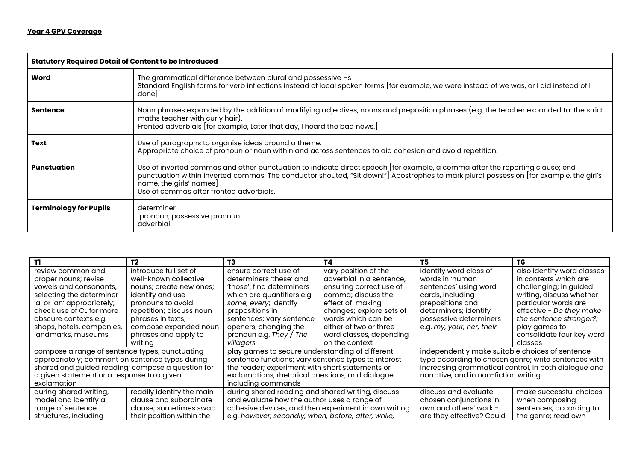| <b>Statutory Required Detail of Content to be Introduced</b> |                                                                                                                                                                                                                                                                                                                                               |
|--------------------------------------------------------------|-----------------------------------------------------------------------------------------------------------------------------------------------------------------------------------------------------------------------------------------------------------------------------------------------------------------------------------------------|
| Word                                                         | The grammatical difference between plural and possessive -s<br>Standard English forms for verb inflections instead of local spoken forms [for example, we were instead of we was, or I did instead of I<br>donel                                                                                                                              |
| <b>Sentence</b>                                              | Noun phrases expanded by the addition of modifying adjectives, nouns and preposition phrases (e.g. the teacher expanded to: the strict<br>maths teacher with curly hair).<br>Fronted adverbials [for example, Later that day, I heard the bad news.]                                                                                          |
| <b>Text</b>                                                  | Use of paragraphs to organise ideas around a theme.<br>Appropriate choice of pronoun or noun within and across sentences to aid cohesion and avoid repetition.                                                                                                                                                                                |
| Punctuation                                                  | Use of inverted commas and other punctuation to indicate direct speech [for example, a comma after the reporting clause; end<br>punctuation within inverted commas: The conductor shouted, "Sit down!"] Apostrophes to mark plural possession [for example, the girl's<br>name, the girls' names].<br>Use of commas after fronted adverbials. |
| <b>Terminology for Pupils</b>                                | determiner<br>pronoun, possessive pronoun<br>adverbial                                                                                                                                                                                                                                                                                        |

| T1                                                | Т2                        | T3                                                   | T4                       | T5                                                   | T6                         |
|---------------------------------------------------|---------------------------|------------------------------------------------------|--------------------------|------------------------------------------------------|----------------------------|
| review common and                                 | introduce full set of     | ensure correct use of                                | vary position of the     | identify word class of                               | also identify word classes |
| proper nouns; revise                              | well-known collective     | determiners 'these' and                              | adverbial in a sentence, | words in 'human                                      | in contexts which are      |
| vowels and consonants,                            | nouns; create new ones;   | 'those'; find determiners                            | ensuring correct use of  | sentences' using word                                | challenging; in guided     |
| selecting the determiner                          | identify and use          | which are quantifiers e.g.                           | comma; discuss the       | cards, including                                     | writing, discuss whether   |
| 'a' or 'an' appropriately;                        | pronouns to avoid         | some, every; identify                                | effect of making         | prepositions and                                     | particular words are       |
| check use of CL for more                          | repetition; discuss noun  | prepositions in                                      | changes; explore sets of | determiners; identify                                | effective - Do they make   |
| obscure contexts e.g.                             | phrases in texts;         | sentences; vary sentence                             | words which can be       | possessive determiners                               | the sentence stronger?;    |
| shops, hotels, companies,                         | compose expanded noun     | openers, changing the                                | either of two or three   | e.g. my, your, her, their                            | play games to              |
| landmarks, museums                                | phrases and apply to      | pronoun e.g. They / The                              | word classes, depending  |                                                      | consolidate four key word  |
|                                                   | writina                   | villagers                                            | on the context           |                                                      | classes                    |
| compose a range of sentence types, punctuating    |                           | play games to secure understanding of different      |                          | independently make suitable choices of sentence      |                            |
| appropriately; comment on sentence types during   |                           | sentence functions; vary sentence types to interest  |                          | type according to chosen genre; write sentences with |                            |
| shared and guided reading; compose a question for |                           | the reader; experiment with short statements or      |                          | increasing grammatical control, in both dialogue and |                            |
| a given statement or a response to a given        |                           | exclamations, rhetorical questions, and dialogue     |                          | narrative, and in non-fiction writing                |                            |
| exclamation                                       |                           | including commands                                   |                          |                                                      |                            |
| during shared writing,                            | readily identify the main | during shared reading and shared writing, discuss    |                          | discuss and evaluate                                 | make successful choices    |
| model and identify a                              | clause and subordinate    | and evaluate how the author uses a range of          |                          | chosen conjunctions in                               | when composing             |
| range of sentence                                 | clause; sometimes swap    | cohesive devices, and then experiment in own writing |                          | own and others' work -                               | sentences, according to    |
| structures, including                             | their position within the | e.g. however, secondly, when, before, after, while,  |                          | are they effective? Could                            | the genre; read own        |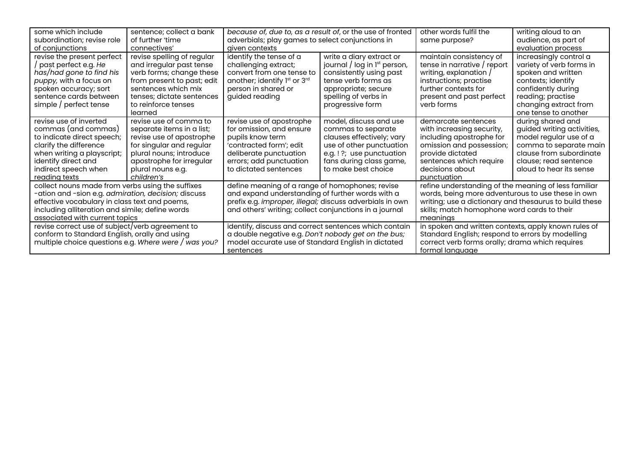| some which include<br>subordination; revise role<br>of conjunctions                                                                                                                                                                           | sentence; collect a bank<br>of further 'time<br>connectives'                                                                                                                                           | because of, due to, as a result of, or the use of fronted<br>adverbials; play games to select conjunctions in<br>aiven contexts                                                                                                                                                    |                                                                                                                                                                                    | other words fulfil the<br>same purpose?                                                                                                                                                                                        | writing aloud to an<br>audience, as part of<br>evaluation process                                                                                                                          |
|-----------------------------------------------------------------------------------------------------------------------------------------------------------------------------------------------------------------------------------------------|--------------------------------------------------------------------------------------------------------------------------------------------------------------------------------------------------------|------------------------------------------------------------------------------------------------------------------------------------------------------------------------------------------------------------------------------------------------------------------------------------|------------------------------------------------------------------------------------------------------------------------------------------------------------------------------------|--------------------------------------------------------------------------------------------------------------------------------------------------------------------------------------------------------------------------------|--------------------------------------------------------------------------------------------------------------------------------------------------------------------------------------------|
| revise the present perfect<br>/ past perfect e.g. He<br>has/had gone to find his<br>puppy, with a focus on<br>spoken accuracy; sort<br>sentence cards between<br>simple / perfect tense                                                       | revise spelling of regular<br>and irregular past tense<br>verb forms; change these<br>from present to past; edit<br>sentences which mix<br>tenses; dictate sentences<br>to reinforce tenses<br>learned | identify the tense of a<br>challenging extract;<br>convert from one tense to<br>another; identify 1 <sup>st</sup> or 3 <sup>rd</sup><br>person in shared or<br>guided reading                                                                                                      | write a diary extract or<br>journal / log in $l^{st}$ person,<br>consistently using past<br>tense verb forms as<br>appropriate; secure<br>spelling of verbs in<br>progressive form | maintain consistency of<br>tense in narrative / report<br>writing, explanation /<br>instructions; practise<br>further contexts for<br>present and past perfect<br>verb forms                                                   | increasingly control a<br>variety of verb forms in<br>spoken and written<br>contexts; identify<br>confidently during<br>reading; practise<br>changing extract from<br>one tense to another |
| revise use of inverted<br>commas (and commas)<br>to indicate direct speech;<br>clarify the difference<br>when writing a playscript;<br>identify direct and<br>indirect speech when<br>reading texts                                           | revise use of comma to<br>separate items in a list;<br>revise use of apostrophe<br>for singular and regular<br>plural nouns; introduce<br>apostrophe for irregular<br>plural nouns e.g.<br>children's  | revise use of apostrophe<br>for omission, and ensure<br>pupils know term<br>'contracted form'; edit<br>deliberate punctuation<br>errors; add punctuation<br>to dictated sentences                                                                                                  | model, discuss and use<br>commas to separate<br>clauses effectively; vary<br>use of other punctuation<br>e.g.!?; use punctuation<br>fans during class game,<br>to make best choice | demarcate sentences<br>with increasing security,<br>including apostrophe for<br>omission and possession;<br>provide dictated<br>sentences which require<br>decisions about<br>punctuation                                      | during shared and<br>guided writing activities,<br>model regular use of a<br>comma to separate main<br>clause from subordinate<br>clause; read sentence<br>aloud to hear its sense         |
| collect nouns made from verbs using the suffixes<br>-ation and -sion e.g. admiration, decision; discuss<br>effective vocabulary in class text and poems,<br>including alliteration and simile; define words<br>associated with current topics |                                                                                                                                                                                                        | define meaning of a range of homophones; revise<br>and expand understanding of further words with a<br>prefix e.g. improper, illegal; discuss adverbials in own<br>and others' writing; collect conjunctions in a journal<br>identify, discuss and correct sentences which contain |                                                                                                                                                                                    | refine understanding of the meaning of less familiar<br>words, being more adventurous to use these in own<br>writing; use a dictionary and thesaurus to build these<br>skills; match homophone word cards to their<br>meanings |                                                                                                                                                                                            |
| revise correct use of subject/verb agreement to<br>conform to Standard English, orally and using<br>multiple choice questions e.g. Where were / was you?                                                                                      |                                                                                                                                                                                                        | a double negative e.g. Don't nobody get on the bus;<br>model accurate use of Standard English in dictated<br>sentences                                                                                                                                                             |                                                                                                                                                                                    | in spoken and written contexts, apply known rules of<br>Standard English; respond to errors by modelling<br>correct verb forms orally; drama which requires<br>formal language                                                 |                                                                                                                                                                                            |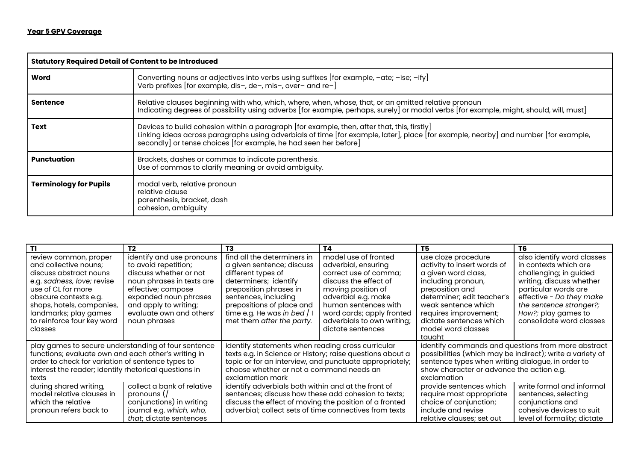|                               | <b>Statutory Required Detail of Content to be Introduced</b>                                                                                                                                                                                                                                           |  |  |
|-------------------------------|--------------------------------------------------------------------------------------------------------------------------------------------------------------------------------------------------------------------------------------------------------------------------------------------------------|--|--|
| Word                          | Converting nouns or adjectives into verbs using suffixes [for example, -ate; -ise; -ify]<br>Verb prefixes [for example, dis-, de-, mis-, over- and re-]                                                                                                                                                |  |  |
| <b>Sentence</b>               | Relative clauses beginning with who, which, where, when, whose, that, or an omitted relative pronoun<br>Indicating degrees of possibility using adverbs [for example, perhaps, surely] or modal verbs [for example, might, should, will, must]                                                         |  |  |
| <b>Text</b>                   | Devices to build cohesion within a paragraph [for example, then, after that, this, firstly]<br>Linking ideas across paragraphs using adverbials of time [for example, later], place [for example, nearby] and number [for example,<br>secondly] or tense choices [for example, he had seen her before] |  |  |
| Punctuation                   | Brackets, dashes or commas to indicate parenthesis.<br>Use of commas to clarify meaning or avoid ambiguity.                                                                                                                                                                                            |  |  |
| <b>Terminology for Pupils</b> | modal verb, relative pronoun<br>relative clause<br>parenthesis, bracket, dash<br>cohesion, ambiguity                                                                                                                                                                                                   |  |  |

| T1                                                    | T <sub>2</sub>                  | T3                                                        | T4                         | T5                                                        | T6                          |
|-------------------------------------------------------|---------------------------------|-----------------------------------------------------------|----------------------------|-----------------------------------------------------------|-----------------------------|
| review common, proper                                 | identify and use pronouns       | find all the determiners in                               | model use of fronted       | use cloze procedure                                       | also identify word classes  |
| and collective nouns;                                 | to avoid repetition;            | a given sentence; discuss                                 | adverbial, ensuring        | activity to insert words of                               | in contexts which are       |
| discuss abstract nouns                                | discuss whether or not          | different types of                                        | correct use of comma;      | a given word class,                                       | challenging; in guided      |
| e.g. sadness, love; revise                            | noun phrases in texts are       | determiners; identify                                     | discuss the effect of      | including pronoun,                                        | writing, discuss whether    |
| use of CL for more                                    | effective; compose              | preposition phrases in                                    | moving position of         | preposition and                                           | particular words are        |
| obscure contexts e.g.                                 | expanded noun phrases           | sentences, including                                      | adverbial e.g. make        | determiner; edit teacher's                                | effective - Do they make    |
| shops, hotels, companies,                             | and apply to writing;           | prepositions of place and                                 | human sentences with       | weak sentence which                                       | the sentence stronger?;     |
| landmarks; play games                                 | evaluate own and others'        | time e.g. He was in bed $/$ I                             | word cards; apply fronted  | requires improvement;                                     | How?; play games to         |
| to reinforce four key word                            | noun phrases                    | met them after the party.                                 | adverbials to own writing; | dictate sentences which                                   | consolidate word classes    |
| classes                                               |                                 |                                                           | dictate sentences          | model word classes                                        |                             |
|                                                       |                                 |                                                           |                            | tauaht                                                    |                             |
| play games to secure understanding of four sentence   |                                 | identify statements when reading cross curricular         |                            | identify commands and questions from more abstract        |                             |
| functions; evaluate own and each other's writing in   |                                 | texts e.g. in Science or History; raise questions about a |                            | possibilities (which may be indirect); write a variety of |                             |
| order to check for variation of sentence types to     |                                 | topic or for an interview, and punctuate appropriately;   |                            | sentence types when writing dialogue, in order to         |                             |
| interest the reader; identify rhetorical questions in |                                 | choose whether or not a command needs an                  |                            | show character or advance the action e.g.                 |                             |
| texts                                                 |                                 | exclamation mark                                          |                            | exclamation                                               |                             |
| during shared writing,                                | collect a bank of relative      | identify adverbials both within and at the front of       |                            | provide sentences which                                   | write formal and informal   |
| model relative clauses in                             | pronouns (/                     | sentences; discuss how these add cohesion to texts;       |                            | require most appropriate                                  | sentences, selecting        |
| which the relative                                    | conjunctions) in writing        | discuss the effect of moving the position of a fronted    |                            | choice of conjunction;                                    | conjunctions and            |
| pronoun refers back to                                | journal e.g. which, who,        | adverbial; collect sets of time connectives from texts    |                            | include and revise                                        | cohesive devices to suit    |
|                                                       | <i>that</i> ; dictate sentences |                                                           |                            | relative clauses; set out                                 | level of formality; dictate |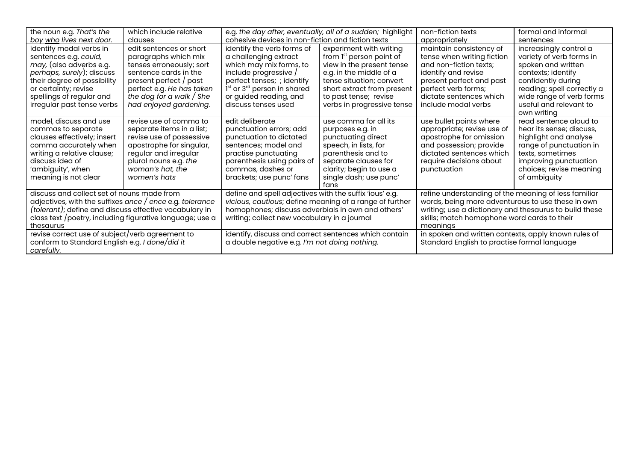| the noun e.g. That's the                                                                                                                                                                                                                                                                                                                                     | which include relative                                                                                                                                                                                              | e.g. the day after, eventually, all of a sudden; highlight                                                                                                                                                                                                                                                                        |                                                                                                                                                                                                                                          | non-fiction texts                                                                                                                                                                                                                                                                                                                      | formal and informal                                                                                                                                                                                           |
|--------------------------------------------------------------------------------------------------------------------------------------------------------------------------------------------------------------------------------------------------------------------------------------------------------------------------------------------------------------|---------------------------------------------------------------------------------------------------------------------------------------------------------------------------------------------------------------------|-----------------------------------------------------------------------------------------------------------------------------------------------------------------------------------------------------------------------------------------------------------------------------------------------------------------------------------|------------------------------------------------------------------------------------------------------------------------------------------------------------------------------------------------------------------------------------------|----------------------------------------------------------------------------------------------------------------------------------------------------------------------------------------------------------------------------------------------------------------------------------------------------------------------------------------|---------------------------------------------------------------------------------------------------------------------------------------------------------------------------------------------------------------|
| boy who lives next door.                                                                                                                                                                                                                                                                                                                                     | clauses                                                                                                                                                                                                             | cohesive devices in non-fiction and fiction texts                                                                                                                                                                                                                                                                                 |                                                                                                                                                                                                                                          | appropriately                                                                                                                                                                                                                                                                                                                          | sentences                                                                                                                                                                                                     |
| identify modal verbs in<br>sentences e.g. could,<br><i>may</i> , (also adverbs e.g.<br>perhaps, surely); discuss<br>their degree of possibility<br>or certainty; revise<br>spellings of regular and<br>irregular past tense verbs                                                                                                                            | edit sentences or short<br>paragraphs which mix<br>tenses erroneously; sort<br>sentence cards in the<br>present perfect / past<br>perfect e.g. He has taken<br>the dog for a walk $/$ She<br>had enjoyed gardening. | identify the verb forms of<br>a challenging extract<br>which may mix forms, to<br>include progressive /<br>perfect tenses; ; identify<br>1 <sup>st</sup> or 3 <sup>rd</sup> person in shared<br>or guided reading, and<br>discuss tenses used                                                                                     | experiment with writing<br>from 1 <sup>st</sup> person point of<br>view in the present tense<br>e.g. in the middle of a<br>tense situation; convert<br>short extract from present<br>to past tense; revise<br>verbs in progressive tense | maintain consistency of<br>tense when writing fiction<br>and non-fiction texts;<br>identify and revise<br>present perfect and past<br>perfect verb forms;<br>dictate sentences which<br>include modal verbs                                                                                                                            | increasingly control a<br>variety of verb forms in<br>spoken and written<br>contexts; identify<br>confidently during<br>reading; spell correctly a<br>wide range of verb forms<br>useful and relevant to      |
| model, discuss and use<br>commas to separate<br>clauses effectively; insert<br>comma accurately when<br>writing a relative clause;<br>discuss idea of<br>'ambiguity', when<br>meaning is not clear                                                                                                                                                           | revise use of comma to<br>separate items in a list;<br>revise use of possessive<br>apostrophe for singular,<br>regular and irregular<br>plural nouns e.g. the<br>woman's hat, the<br>women's hats                   | edit deliberate<br>punctuation errors; add<br>punctuation to dictated<br>sentences; model and<br>practise punctuating<br>parenthesis using pairs of<br>commas, dashes or<br>brackets; use punc' fans                                                                                                                              | use comma for all its<br>purposes e.g. in<br>punctuating direct<br>speech, in lists, for<br>parenthesis and to<br>separate clauses for<br>clarity; begin to use a<br>single dash; use punc'<br>tans                                      | use bullet points where<br>appropriate; revise use of<br>apostrophe for omission<br>and possession; provide<br>dictated sentences which<br>require decisions about<br>punctuation                                                                                                                                                      | own writing<br>read sentence aloud to<br>hear its sense; discuss,<br>highlight and analyse<br>range of punctuation in<br>texts, sometimes<br>improving punctuation<br>choices; revise meaning<br>of ambiguity |
| discuss and collect set of nouns made from<br>adjectives, with the suffixes ance / ence e.g. tolerance<br>(tolerant); define and discuss effective vocabulary in<br>class text /poetry, including figurative language; use a<br>thesaurus<br>revise correct use of subject/verb agreement to<br>conform to Standard English e.g. I done/did it<br>carefully. |                                                                                                                                                                                                                     | define and spell adjectives with the suffix 'ious' e.g.<br>vicious, cautious; define meaning of a range of further<br>homophones; discuss adverbials in own and others'<br>writing; collect new vocabulary in a journal<br>identify, discuss and correct sentences which contain<br>a double negative e.g. I'm not doing nothing. |                                                                                                                                                                                                                                          | refine understanding of the meaning of less familiar<br>words, being more adventurous to use these in own<br>writing; use a dictionary and thesaurus to build these<br>skills; match homophone word cards to their<br>meanings<br>in spoken and written contexts, apply known rules of<br>Standard English to practise formal language |                                                                                                                                                                                                               |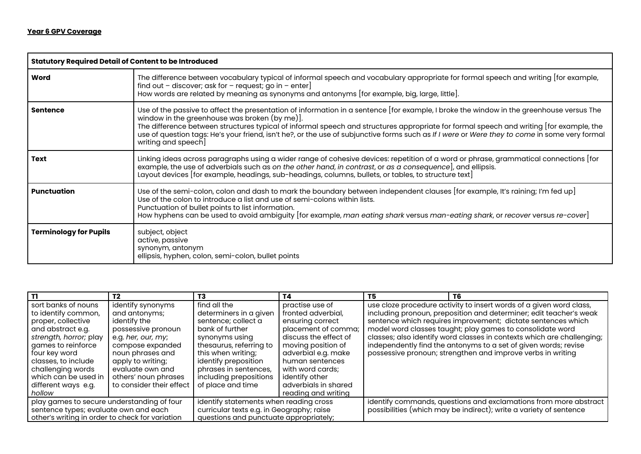| <b>Statutory Required Detail of Content to be Introduced</b> |                                                                                                                                                                                                                                                                                                                                                                                                                                                                                                              |  |  |  |
|--------------------------------------------------------------|--------------------------------------------------------------------------------------------------------------------------------------------------------------------------------------------------------------------------------------------------------------------------------------------------------------------------------------------------------------------------------------------------------------------------------------------------------------------------------------------------------------|--|--|--|
| Word                                                         | The difference between vocabulary typical of informal speech and vocabulary appropriate for formal speech and writing [for example,<br>find out – discover; ask for – request; go in – enter]<br>How words are related by meaning as synonyms and antonyms [for example, big, large, little].                                                                                                                                                                                                                |  |  |  |
| <b>Sentence</b>                                              | Use of the passive to affect the presentation of information in a sentence [for example, I broke the window in the greenhouse versus The<br>window in the greenhouse was broken (by me)].<br>The difference between structures typical of informal speech and structures appropriate for formal speech and writing [for example, the<br>use of question tags: He's your friend, isn't he?, or the use of subjunctive forms such as If I were or Were they to come in some very formal<br>writing and speech] |  |  |  |
| <b>Text</b>                                                  | Linking ideas across paragraphs using a wider range of cohesive devices: repetition of a word or phrase, grammatical connections [for<br>example, the use of adverbials such as on the other hand, in contrast, or as a consequence], and ellipsis.<br>Layout devices [for example, headings, sub-headings, columns, bullets, or tables, to structure text]                                                                                                                                                  |  |  |  |
| <b>Punctuation</b>                                           | Use of the semi-colon, colon and dash to mark the boundary between independent clauses [for example, It's raining; I'm fed up]<br>Use of the colon to introduce a list and use of semi-colons within lists.<br>Punctuation of bullet points to list information.<br>How hyphens can be used to avoid ambiguity [for example, man eating shark versus man-eating shark, or recover versus re-cover]                                                                                                           |  |  |  |
| <b>Terminology for Pupils</b>                                | subject, object<br>active, passive<br>synonym, antonym<br>ellipsis, hyphen, colon, semi-colon, bullet points                                                                                                                                                                                                                                                                                                                                                                                                 |  |  |  |

|                                                 | T <sub>2</sub>           | T3                                        | T4                    | T5                                                                 | T6                                                                     |  |
|-------------------------------------------------|--------------------------|-------------------------------------------|-----------------------|--------------------------------------------------------------------|------------------------------------------------------------------------|--|
| sort banks of nouns                             | identify synonyms        | find all the                              | practise use of       |                                                                    | use cloze procedure activity to insert words of a given word class,    |  |
| to identify common,                             | and antonyms;            | determiners in a given                    | fronted adverbial.    |                                                                    | including pronoun, preposition and determiner; edit teacher's weak     |  |
| proper, collective                              | identify the             | sentence; collect a                       | ensuring correct      |                                                                    | sentence which requires improvement; dictate sentences which           |  |
| and abstract e.g.                               | possessive pronoun       | bank of further                           | placement of comma;   |                                                                    | model word classes taught; play games to consolidate word              |  |
| strength, horror; play                          | e.g. her, our, my;       | synonyms using                            | discuss the effect of |                                                                    | classes; also identify word classes in contexts which are challenging; |  |
| games to reinforce                              | compose expanded         | thesaurus, referring to                   | moving position of    |                                                                    | independently find the antonyms to a set of given words; revise        |  |
| four key word                                   | noun phrases and         | this when writing;                        | adverbial e.g. make   |                                                                    | possessive pronoun; strengthen and improve verbs in writing            |  |
| classes, to include                             | apply to writing;        | identify preposition                      | human sentences       |                                                                    |                                                                        |  |
| challenging words                               | evaluate own and         | phrases in sentences,                     | with word cards:      |                                                                    |                                                                        |  |
| which can be used in                            | others' noun phrases     | including prepositions                    | identify other        |                                                                    |                                                                        |  |
| different ways e.g.                             | to consider their effect | of place and time                         | adverbials in shared  |                                                                    |                                                                        |  |
| hollow                                          |                          |                                           | reading and writing   |                                                                    |                                                                        |  |
| play games to secure understanding of four      |                          | identify statements when reading cross    |                       |                                                                    | identify commands, questions and exclamations from more abstract       |  |
| sentence types; evaluate own and each           |                          | curricular texts e.g. in Geography; raise |                       | possibilities (which may be indirect); write a variety of sentence |                                                                        |  |
| other's writing in order to check for variation |                          | questions and punctuate appropriately;    |                       |                                                                    |                                                                        |  |